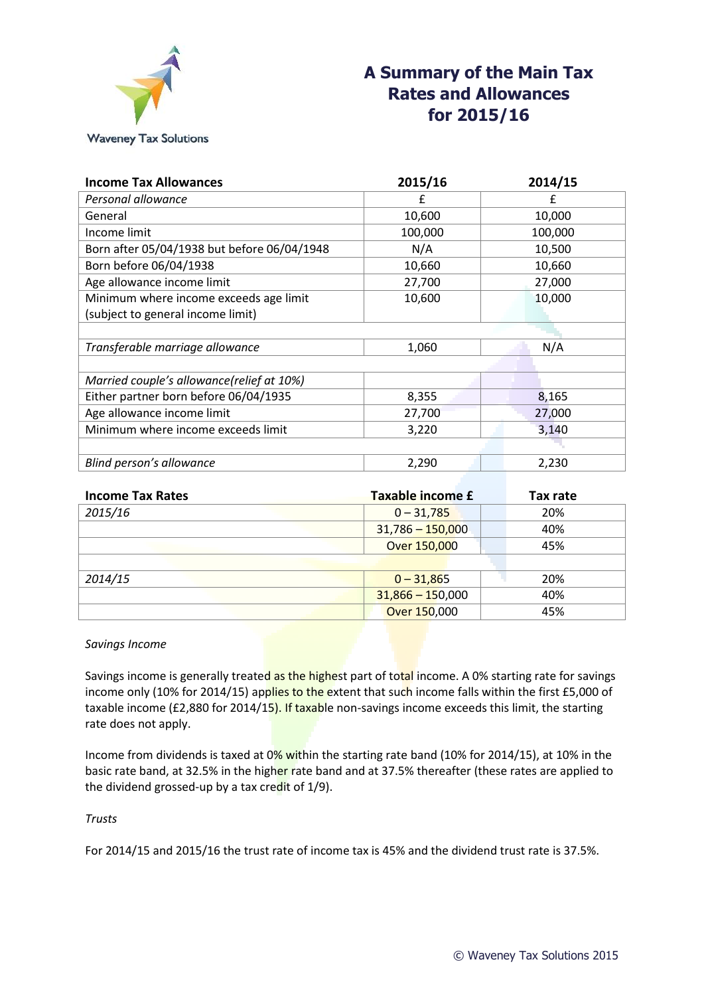

| <b>Income Tax Allowances</b>                | 2015/16 | 2014/15 |
|---------------------------------------------|---------|---------|
| Personal allowance                          | £       | f       |
| General                                     | 10,600  | 10,000  |
| Income limit                                | 100,000 | 100,000 |
| Born after 05/04/1938 but before 06/04/1948 | N/A     | 10,500  |
| Born before 06/04/1938                      | 10,660  | 10,660  |
| Age allowance income limit                  | 27,700  | 27,000  |
| Minimum where income exceeds age limit      | 10,600  | 10,000  |
| (subject to general income limit)           |         |         |
|                                             |         |         |
| Transferable marriage allowance             | 1,060   | N/A     |
|                                             |         |         |
| Married couple's allowance(relief at 10%)   |         |         |
| Either partner born before 06/04/1935       | 8,355   | 8,165   |
| Age allowance income limit                  | 27,700  | 27,000  |
| Minimum where income exceeds limit          | 3,220   | 3,140   |
|                                             |         |         |
| Blind person's allowance                    | 2,290   | 2,230   |

| <b>Income Tax Rates</b> | Taxable income £   | Tax rate |
|-------------------------|--------------------|----------|
| 2015/16                 | $0 - 31,785$       | 20%      |
|                         | $31,786 - 150,000$ | 40%      |
|                         | Over 150,000       | 45%      |
|                         |                    |          |
| 2014/15                 | $0 - 31,865$       | 20%      |
|                         | $31,866 - 150,000$ | 40%      |
|                         | Over 150,000       | 45%      |

*Savings Income*

Savings income is generally treated as the highest part of total income. A 0% starting rate for savings income only (10% for 2014/15) applies to the extent that such income falls within the first £5,000 of taxable income (£2,880 for 2014/15). If taxable non-savings income exceeds this limit, the starting rate does not apply.

Income from dividends is taxed at 0% within the starting rate band (10% for 2014/15), at 10% in the basic rate band, at 32.5% in the higher rate band and at 37.5% thereafter (these rates are applied to the dividend grossed-up by a tax credit of 1/9).

# *Trusts*

For 2014/15 and 2015/16 the trust rate of income tax is 45% and the dividend trust rate is 37.5%.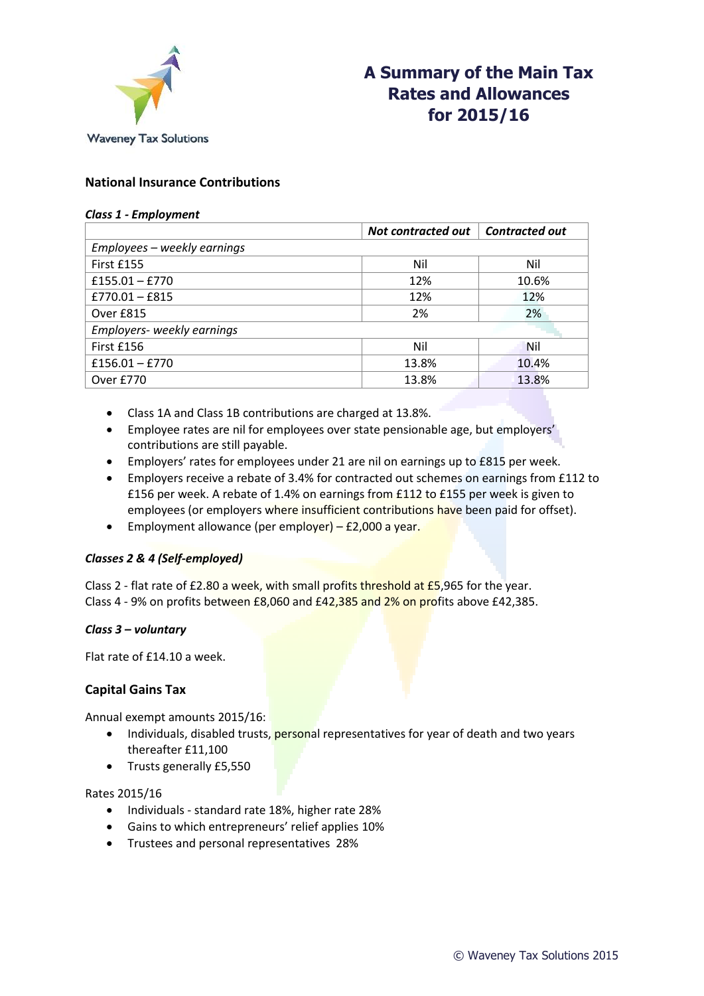

# **National Insurance Contributions**

#### *Class 1 - Employment*

|                             | <b>Not contracted out</b> | Contracted out |
|-----------------------------|---------------------------|----------------|
| Employees - weekly earnings |                           |                |
| First £155                  | Nil                       | Nil            |
| $£155.01 - £770$            | 12%                       | 10.6%          |
| $£770.01 - £815$            | 12%                       | 12%            |
| Over £815                   | 2%                        | 2%             |
| Employers- weekly earnings  |                           |                |
| First £156                  | Nil                       | <b>Nil</b>     |
| $£156.01 - £770$            | 13.8%                     | 10.4%          |
| Over £770                   | 13.8%                     | 13.8%          |

- Class 1A and Class 1B contributions are charged at 13.8%.
- Employee rates are nil for employees over state pensionable age, but employers' contributions are still payable.
- Employers' rates for employees under 21 are nil on earnings up to £815 per week.
- Employers receive a rebate of 3.4% for contracted out schemes on earnings from £112 to £156 per week. A rebate of 1.4% on earnings from £112 to £155 per week is given to employees (or employers where insufficient contributions have been paid for offset).
- **Employment allowance (per employer) £2,000 a year.**

# *Classes 2 & 4 (Self-employed)*

Class 2 - flat rate of  $£2.80$  a week, with small profits threshold at  $£5,965$  for the year. Class 4 - 9% on profits between £8,060 and £42,385 and 2% on profits above £42,385.

### *Class 3 – voluntary*

Flat rate of £14.10 a week.

# **Capital Gains Tax**

Annual exempt amounts 2015/16:

- Individuals, disabled trusts, personal representatives for year of death and two years thereafter £11,100
- Trusts generally £5,550

### Rates 2015/16

- Individuals standard rate 18%, higher rate 28%
- Gains to which entrepreneurs' relief applies 10%
- Trustees and personal representatives 28%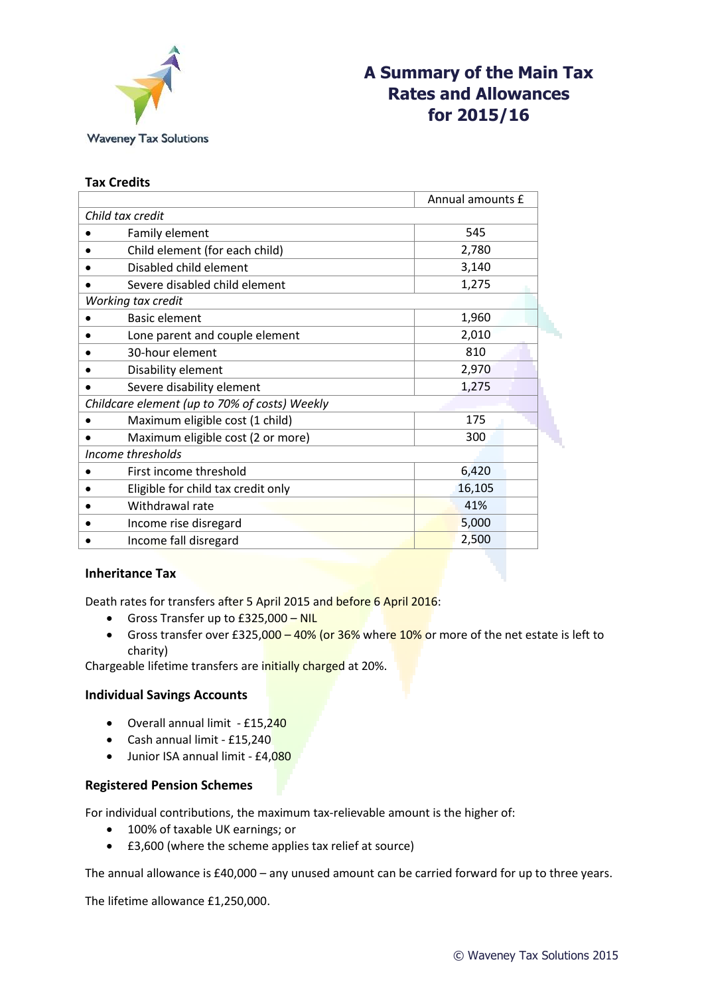

# **Tax Credits**

|                                               | Annual amounts £ |  |  |
|-----------------------------------------------|------------------|--|--|
| Child tax credit                              |                  |  |  |
| Family element                                | 545              |  |  |
| Child element (for each child)                | 2,780            |  |  |
| Disabled child element                        | 3,140            |  |  |
| Severe disabled child element                 | 1,275            |  |  |
| Working tax credit                            |                  |  |  |
| <b>Basic element</b>                          | 1,960            |  |  |
| Lone parent and couple element                | 2,010            |  |  |
| 30-hour element                               | 810              |  |  |
| Disability element                            | 2,970            |  |  |
| Severe disability element                     | 1,275            |  |  |
| Childcare element (up to 70% of costs) Weekly |                  |  |  |
| Maximum eligible cost (1 child)               | 175              |  |  |
| Maximum eligible cost (2 or more)             | 300              |  |  |
| Income thresholds                             |                  |  |  |
| First income threshold                        | 6,420            |  |  |
| Eligible for child tax credit only            | 16,105           |  |  |
| Withdrawal rate                               | 41%              |  |  |
| Income rise disregard                         | 5,000            |  |  |
| Income fall disregard                         | 2,500            |  |  |
|                                               |                  |  |  |

# **Inheritance Tax**

Death rates for transfers after 5 April 2015 and before 6 April 2016:

- Gross Transfer up to  $£325,000 NIL$
- Gross transfer over £325,000  $-$  40% (or 36% where 10% or more of the net estate is left to charity)

Chargeable lifetime transfers are initially charged at 20%.

# **Individual Savings Accounts**

- Overall annual limit £15,240
- Cash annual limit £15,240
- Junior ISA annual limit £4,080

# **Registered Pension Schemes**

For individual contributions, the maximum tax-relievable amount is the higher of:

- 100% of taxable UK earnings; or
- £3,600 (where the scheme applies tax relief at source)

The annual allowance is £40,000 – any unused amount can be carried forward for up to three years.

The lifetime allowance £1,250,000.